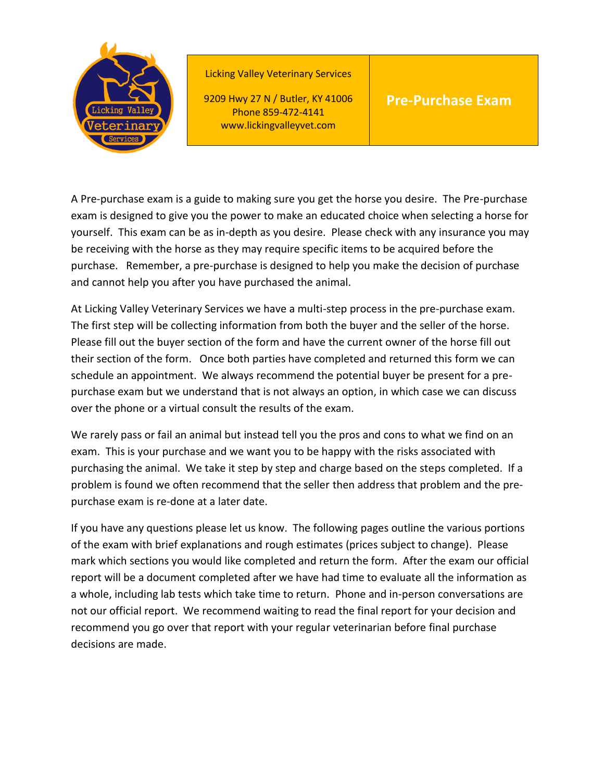

Licking Valley Veterinary Services

9209 Hwy 27 N / Butler, KY 41006 Phone 859-472-4141 www.lickingvalleyvet.com

## **Pre-Purchase Exam**

A Pre-purchase exam is a guide to making sure you get the horse you desire. The Pre-purchase exam is designed to give you the power to make an educated choice when selecting a horse for yourself. This exam can be as in-depth as you desire. Please check with any insurance you may be receiving with the horse as they may require specific items to be acquired before the purchase. Remember, a pre-purchase is designed to help you make the decision of purchase and cannot help you after you have purchased the animal.

At Licking Valley Veterinary Services we have a multi-step process in the pre-purchase exam. The first step will be collecting information from both the buyer and the seller of the horse. Please fill out the buyer section of the form and have the current owner of the horse fill out their section of the form. Once both parties have completed and returned this form we can schedule an appointment. We always recommend the potential buyer be present for a prepurchase exam but we understand that is not always an option, in which case we can discuss over the phone or a virtual consult the results of the exam.

We rarely pass or fail an animal but instead tell you the pros and cons to what we find on an exam. This is your purchase and we want you to be happy with the risks associated with purchasing the animal. We take it step by step and charge based on the steps completed. If a problem is found we often recommend that the seller then address that problem and the prepurchase exam is re-done at a later date.

If you have any questions please let us know. The following pages outline the various portions of the exam with brief explanations and rough estimates (prices subject to change). Please mark which sections you would like completed and return the form. After the exam our official report will be a document completed after we have had time to evaluate all the information as a whole, including lab tests which take time to return. Phone and in-person conversations are not our official report. We recommend waiting to read the final report for your decision and recommend you go over that report with your regular veterinarian before final purchase decisions are made.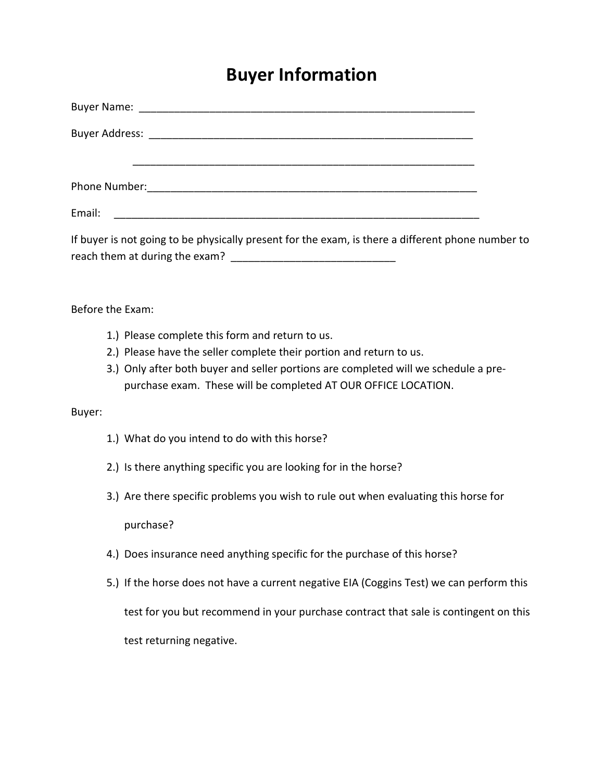## **Buyer Information**

| Email:                                                                                                                                                                                                                                                                          |  |
|---------------------------------------------------------------------------------------------------------------------------------------------------------------------------------------------------------------------------------------------------------------------------------|--|
| If buyer is not going to be physically present for the exam, is there a different phone number to                                                                                                                                                                               |  |
| Before the Exam:                                                                                                                                                                                                                                                                |  |
| 1.) Please complete this form and return to us.<br>2.) Please have the seller complete their portion and return to us.<br>3.) Only after both buyer and seller portions are completed will we schedule a pre-<br>purchase exam. These will be completed AT OUR OFFICE LOCATION. |  |
| Buyer:                                                                                                                                                                                                                                                                          |  |
| 1.) What do you intend to do with this horse?                                                                                                                                                                                                                                   |  |
| 2.) Is there anything specific you are looking for in the horse?                                                                                                                                                                                                                |  |
| 3.) Are there specific problems you wish to rule out when evaluating this horse for                                                                                                                                                                                             |  |
| purchase?                                                                                                                                                                                                                                                                       |  |
| 4.) Does insurance need anything specific for the purchase of this horse?                                                                                                                                                                                                       |  |
| 5.) If the horse does not have a current negative EIA (Coggins Test) we can perform this                                                                                                                                                                                        |  |
| test for you but recommend in your purchase contract that sale is contingent on this                                                                                                                                                                                            |  |
| test returning negative.                                                                                                                                                                                                                                                        |  |
|                                                                                                                                                                                                                                                                                 |  |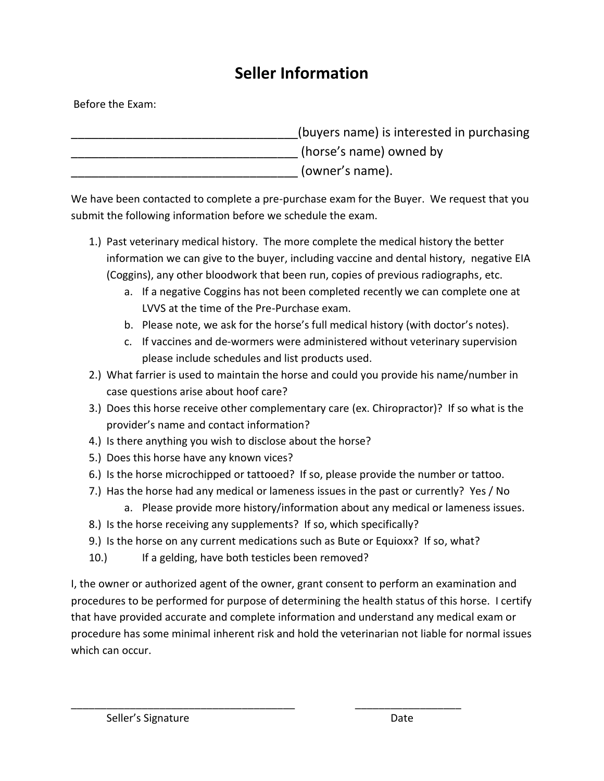## **Seller Information**

Before the Exam:

\_\_\_\_\_\_\_\_\_\_\_\_\_\_\_\_\_\_\_\_\_\_\_\_\_\_\_\_\_\_\_\_\_(buyers name) is interested in purchasing (horse's name) owned by (owner's name).

We have been contacted to complete a pre-purchase exam for the Buyer. We request that you submit the following information before we schedule the exam.

- 1.) Past veterinary medical history. The more complete the medical history the better information we can give to the buyer, including vaccine and dental history, negative EIA (Coggins), any other bloodwork that been run, copies of previous radiographs, etc.
	- a. If a negative Coggins has not been completed recently we can complete one at LVVS at the time of the Pre-Purchase exam.
	- b. Please note, we ask for the horse's full medical history (with doctor's notes).
	- c. If vaccines and de-wormers were administered without veterinary supervision please include schedules and list products used.
- 2.) What farrier is used to maintain the horse and could you provide his name/number in case questions arise about hoof care?
- 3.) Does this horse receive other complementary care (ex. Chiropractor)? If so what is the provider's name and contact information?
- 4.) Is there anything you wish to disclose about the horse?
- 5.) Does this horse have any known vices?
- 6.) Is the horse microchipped or tattooed? If so, please provide the number or tattoo.
- 7.) Has the horse had any medical or lameness issues in the past or currently? Yes / No
	- a. Please provide more history/information about any medical or lameness issues.
- 8.) Is the horse receiving any supplements? If so, which specifically?

\_\_\_\_\_\_\_\_\_\_\_\_\_\_\_\_\_\_\_\_\_\_\_\_\_\_\_\_\_\_\_\_\_\_\_\_\_\_ \_\_\_\_\_\_\_\_\_\_\_\_\_\_\_\_\_\_

- 9.) Is the horse on any current medications such as Bute or Equioxx? If so, what?
- 10.) If a gelding, have both testicles been removed?

I, the owner or authorized agent of the owner, grant consent to perform an examination and procedures to be performed for purpose of determining the health status of this horse. I certify that have provided accurate and complete information and understand any medical exam or procedure has some minimal inherent risk and hold the veterinarian not liable for normal issues which can occur.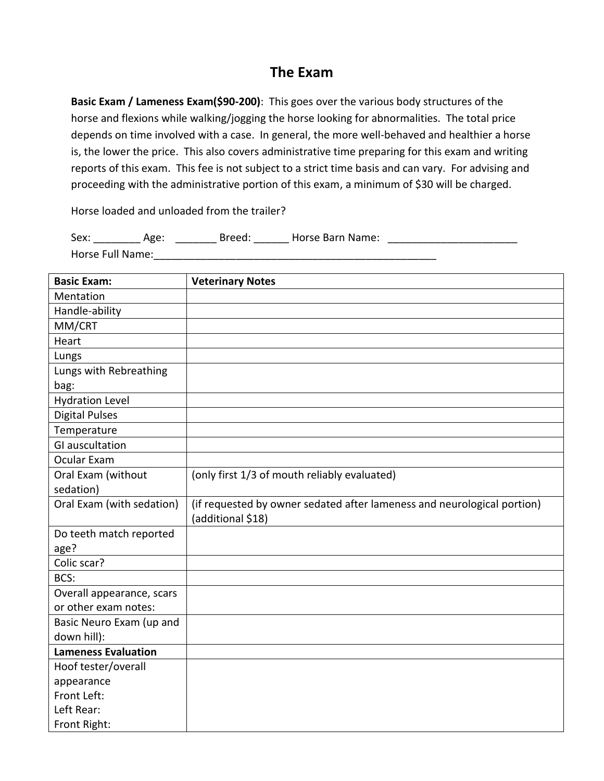## **The Exam**

**Basic Exam / Lameness Exam(\$90-200)**: This goes over the various body structures of the horse and flexions while walking/jogging the horse looking for abnormalities. The total price depends on time involved with a case. In general, the more well-behaved and healthier a horse is, the lower the price. This also covers administrative time preparing for this exam and writing reports of this exam. This fee is not subject to a strict time basis and can vary. For advising and proceeding with the administrative portion of this exam, a minimum of \$30 will be charged.

Horse loaded and unloaded from the trailer?

| Sex:             | Age: | Breed: | Horse Barn Name: |  |
|------------------|------|--------|------------------|--|
| Horse Full Name: |      |        |                  |  |

| <b>Basic Exam:</b>         | <b>Veterinary Notes</b>                                                                      |
|----------------------------|----------------------------------------------------------------------------------------------|
| Mentation                  |                                                                                              |
| Handle-ability             |                                                                                              |
| MM/CRT                     |                                                                                              |
| Heart                      |                                                                                              |
| Lungs                      |                                                                                              |
| Lungs with Rebreathing     |                                                                                              |
| bag:                       |                                                                                              |
| <b>Hydration Level</b>     |                                                                                              |
| <b>Digital Pulses</b>      |                                                                                              |
| Temperature                |                                                                                              |
| <b>GI</b> auscultation     |                                                                                              |
| Ocular Exam                |                                                                                              |
| Oral Exam (without         | (only first 1/3 of mouth reliably evaluated)                                                 |
| sedation)                  |                                                                                              |
| Oral Exam (with sedation)  | (if requested by owner sedated after lameness and neurological portion)<br>(additional \$18) |
| Do teeth match reported    |                                                                                              |
| age?                       |                                                                                              |
| Colic scar?                |                                                                                              |
| BCS:                       |                                                                                              |
| Overall appearance, scars  |                                                                                              |
| or other exam notes:       |                                                                                              |
| Basic Neuro Exam (up and   |                                                                                              |
| down hill):                |                                                                                              |
| <b>Lameness Evaluation</b> |                                                                                              |
| Hoof tester/overall        |                                                                                              |
| appearance                 |                                                                                              |
| Front Left:                |                                                                                              |
| Left Rear:                 |                                                                                              |
| Front Right:               |                                                                                              |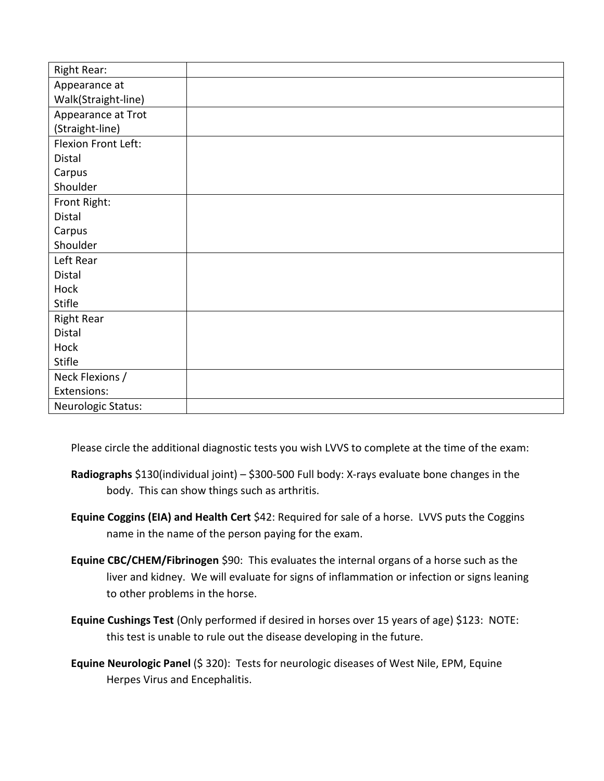| Right Rear:         |  |
|---------------------|--|
| Appearance at       |  |
| Walk(Straight-line) |  |
| Appearance at Trot  |  |
| (Straight-line)     |  |
| Flexion Front Left: |  |
| Distal              |  |
| Carpus              |  |
| Shoulder            |  |
| Front Right:        |  |
| Distal              |  |
| Carpus              |  |
| Shoulder            |  |
| Left Rear           |  |
| Distal              |  |
| Hock                |  |
| Stifle              |  |
| <b>Right Rear</b>   |  |
| Distal              |  |
| Hock                |  |
| <b>Stifle</b>       |  |
| Neck Flexions /     |  |
| Extensions:         |  |
| Neurologic Status:  |  |

Please circle the additional diagnostic tests you wish LVVS to complete at the time of the exam:

- **Radiographs** \$130(individual joint) \$300-500 Full body: X-rays evaluate bone changes in the body. This can show things such as arthritis.
- **Equine Coggins (EIA) and Health Cert** \$42: Required for sale of a horse. LVVS puts the Coggins name in the name of the person paying for the exam.
- **Equine CBC/CHEM/Fibrinogen** \$90: This evaluates the internal organs of a horse such as the liver and kidney. We will evaluate for signs of inflammation or infection or signs leaning to other problems in the horse.
- **Equine Cushings Test** (Only performed if desired in horses over 15 years of age) \$123: NOTE: this test is unable to rule out the disease developing in the future.
- **Equine Neurologic Panel** (\$ 320): Tests for neurologic diseases of West Nile, EPM, Equine Herpes Virus and Encephalitis.